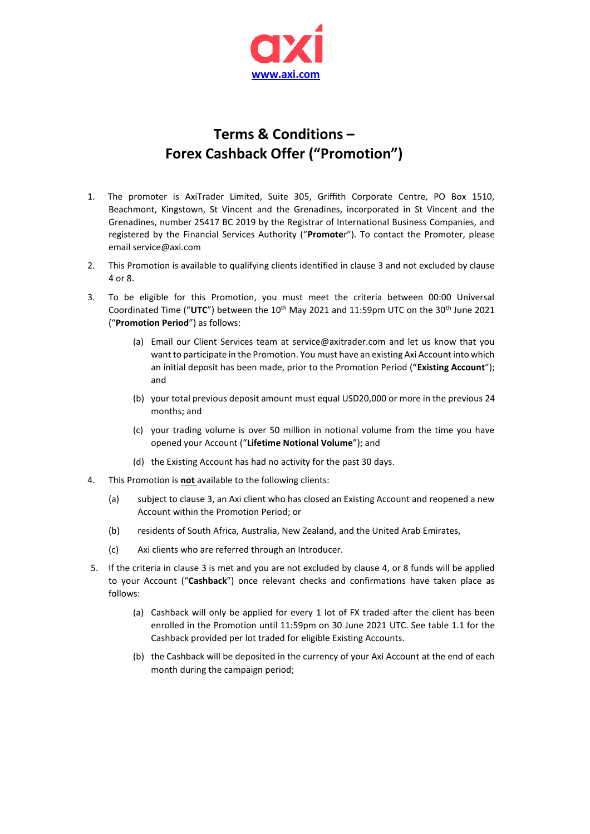

## **Terms & Conditions – Forex Cashback Offer ("Promotion")**

- 1. The promoter is AxiTrader Limited, Suite 305, Griffith Corporate Centre, PO Box 1510, Beachmont, Kingstown, St Vincent and the Grenadines, incorporated in St Vincent and the Grenadines, number 25417 BC 2019 by the Registrar of International Business Companies, and registered by the Financial Services Authority ("**Promote**r"). To contact the Promoter, please email service@axi.com
- 2. This Promotion is available to qualifying clients identified in clause 3 and not excluded by clause 4 or 8.
- 3. To be eligible for this Promotion, you must meet the criteria between 00:00 Universal Coordinated Time ("UTC") between the 10<sup>th</sup> May 2021 and 11:59pm UTC on the 30<sup>th</sup> June 2021 ("**Promotion Period**") as follows:
	- (a) Email our Client Services team at service@axitrader.com and let us know that you want to participate in the Promotion. You must have an existing Axi Account into which an initial deposit has been made, prior to the Promotion Period ("**Existing Account**"); and
	- (b) your total previous deposit amount must equal USD20,000 or more in the previous 24 months; and
	- (c) your trading volume is over 50 million in notional volume from the time you have opened your Account ("**Lifetime Notional Volume**"); and
	- (d) the Existing Account has had no activity for the past 30 days.
- 4. This Promotion is **not** available to the following clients:
	- (a) subject to clause 3, an Axi client who has closed an Existing Account and reopened a new Account within the Promotion Period; or
	- (b) residents of South Africa, Australia, New Zealand, and the United Arab Emirates,
	- (c) Axi clients who are referred through an Introducer.
- 5. If the criteria in clause 3 is met and you are not excluded by clause 4, or 8 funds will be applied to your Account ("**Cashback**") once relevant checks and confirmations have taken place as follows:
	- (a) Cashback will only be applied for every 1 lot of FX traded after the client has been enrolled in the Promotion until 11:59pm on 30 June 2021 UTC. See table 1.1 for the Cashback provided per lot traded for eligible Existing Accounts.
	- (b) the Cashback will be deposited in the currency of your Axi Account at the end of each month during the campaign period;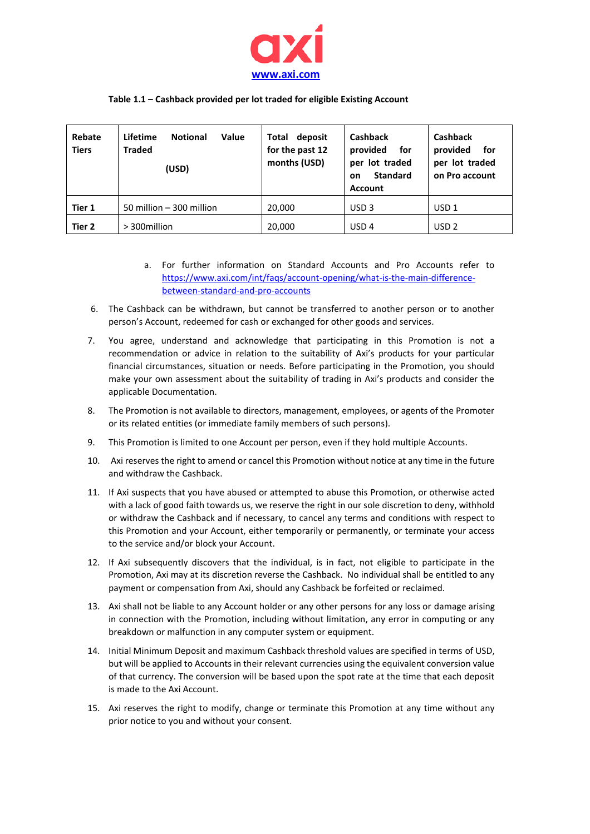

## **Table 1.1 – Cashback provided per lot traded for eligible Existing Account**

| Rebate<br><b>Tiers</b> | Lifetime<br>Value<br><b>Notional</b><br><b>Traded</b><br>(USD) | Total<br>deposit<br>for the past 12<br>months (USD) | Cashback<br>provided<br>for<br>per lot traded<br><b>Standard</b><br><b>on</b><br><b>Account</b> | <b>Cashback</b><br>provided<br>for<br>per lot traded<br>on Pro account |
|------------------------|----------------------------------------------------------------|-----------------------------------------------------|-------------------------------------------------------------------------------------------------|------------------------------------------------------------------------|
| Tier 1                 | 50 million - 300 million                                       | 20,000                                              | USD <sub>3</sub>                                                                                | USD <sub>1</sub>                                                       |
| Tier 2                 | > 300 million                                                  | 20,000                                              | USD <sub>4</sub>                                                                                | USD <sub>2</sub>                                                       |

- a. For further information on Standard Accounts and Pro Accounts refer to [https://www.axi.com/int/faqs/account-opening/what-is-the-main-difference](https://www.axi.com/int/faqs/account-opening/what-is-the-main-difference-between-standard-and-pro-accounts)[between-standard-and-pro-accounts](https://www.axi.com/int/faqs/account-opening/what-is-the-main-difference-between-standard-and-pro-accounts)
- 6. The Cashback can be withdrawn, but cannot be transferred to another person or to another person's Account, redeemed for cash or exchanged for other goods and services.
- 7. You agree, understand and acknowledge that participating in this Promotion is not a recommendation or advice in relation to the suitability of Axi's products for your particular financial circumstances, situation or needs. Before participating in the Promotion, you should make your own assessment about the suitability of trading in Axi's products and consider the applicable Documentation.
- 8. The Promotion is not available to directors, management, employees, or agents of the Promoter or its related entities (or immediate family members of such persons).
- 9. This Promotion is limited to one Account per person, even if they hold multiple Accounts.
- 10. Axi reserves the right to amend or cancel this Promotion without notice at any time in the future and withdraw the Cashback.
- 11. If Axi suspects that you have abused or attempted to abuse this Promotion, or otherwise acted with a lack of good faith towards us, we reserve the right in our sole discretion to deny, withhold or withdraw the Cashback and if necessary, to cancel any terms and conditions with respect to this Promotion and your Account, either temporarily or permanently, or terminate your access to the service and/or block your Account.
- 12. If Axi subsequently discovers that the individual, is in fact, not eligible to participate in the Promotion, Axi may at its discretion reverse the Cashback. No individual shall be entitled to any payment or compensation from Axi, should any Cashback be forfeited or reclaimed.
- 13. Axi shall not be liable to any Account holder or any other persons for any loss or damage arising in connection with the Promotion, including without limitation, any error in computing or any breakdown or malfunction in any computer system or equipment.
- 14. Initial Minimum Deposit and maximum Cashback threshold values are specified in terms of USD, but will be applied to Accounts in their relevant currencies using the equivalent conversion value of that currency. The conversion will be based upon the spot rate at the time that each deposit is made to the Axi Account.
- 15. Axi reserves the right to modify, change or terminate this Promotion at any time without any prior notice to you and without your consent.